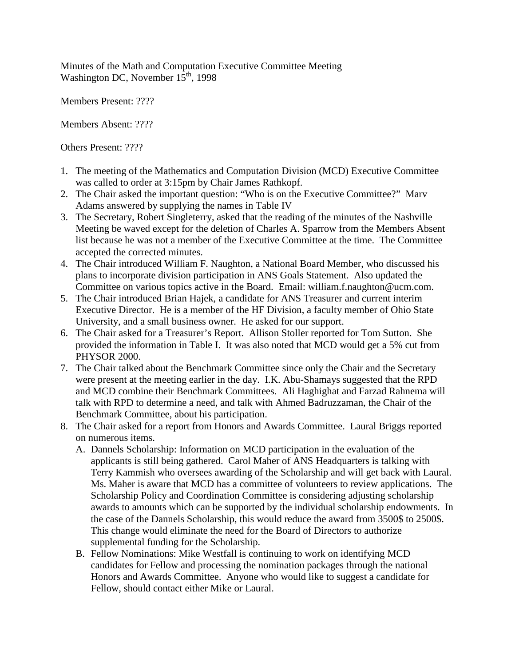Minutes of the Math and Computation Executive Committee Meeting Washington DC, November  $15<sup>th</sup>$ , 1998

Members Present: ????

Members Absent: ????

Others Present: ????

- 1. The meeting of the Mathematics and Computation Division (MCD) Executive Committee was called to order at 3:15pm by Chair James Rathkopf.
- 2. The Chair asked the important question: "Who is on the Executive Committee?" Marv Adams answered by supplying the names in Table IV
- 3. The Secretary, Robert Singleterry, asked that the reading of the minutes of the Nashville Meeting be waved except for the deletion of Charles A. Sparrow from the Members Absent list because he was not a member of the Executive Committee at the time. The Committee accepted the corrected minutes.
- 4. The Chair introduced William F. Naughton, a National Board Member, who discussed his plans to incorporate division participation in ANS Goals Statement. Also updated the Committee on various topics active in the Board. Email: william.f.naughton@ucm.com.
- 5. The Chair introduced Brian Hajek, a candidate for ANS Treasurer and current interim Executive Director. He is a member of the HF Division, a faculty member of Ohio State University, and a small business owner. He asked for our support.
- 6. The Chair asked for a Treasurer's Report. Allison Stoller reported for Tom Sutton. She provided the information in Table I. It was also noted that MCD would get a 5% cut from PHYSOR 2000.
- 7. The Chair talked about the Benchmark Committee since only the Chair and the Secretary were present at the meeting earlier in the day. I.K. Abu-Shamays suggested that the RPD and MCD combine their Benchmark Committees. Ali Haghighat and Farzad Rahnema will talk with RPD to determine a need, and talk with Ahmed Badruzzaman, the Chair of the Benchmark Committee, about his participation.
- 8. The Chair asked for a report from Honors and Awards Committee. Laural Briggs reported on numerous items.
	- A. Dannels Scholarship: Information on MCD participation in the evaluation of the applicants is still being gathered. Carol Maher of ANS Headquarters is talking with Terry Kammish who oversees awarding of the Scholarship and will get back with Laural. Ms. Maher is aware that MCD has a committee of volunteers to review applications. The Scholarship Policy and Coordination Committee is considering adjusting scholarship awards to amounts which can be supported by the individual scholarship endowments. In the case of the Dannels Scholarship, this would reduce the award from 3500\$ to 2500\$. This change would eliminate the need for the Board of Directors to authorize supplemental funding for the Scholarship.
	- B. Fellow Nominations: Mike Westfall is continuing to work on identifying MCD candidates for Fellow and processing the nomination packages through the national Honors and Awards Committee. Anyone who would like to suggest a candidate for Fellow, should contact either Mike or Laural.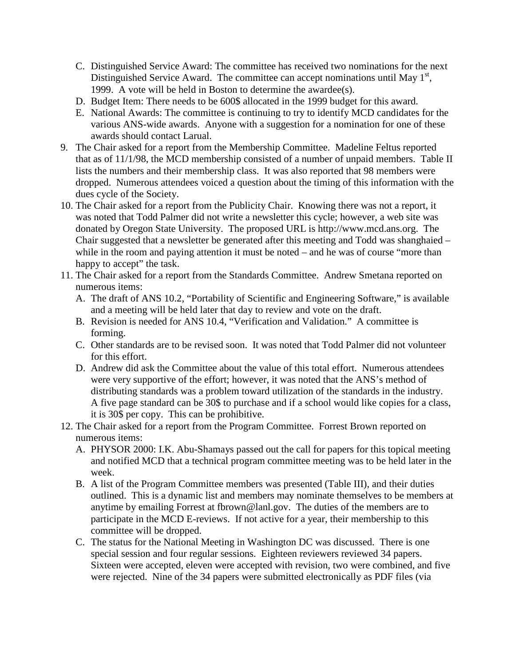- C. Distinguished Service Award: The committee has received two nominations for the next Distinguished Service Award. The committee can accept nominations until May  $1<sup>st</sup>$ , 1999. A vote will be held in Boston to determine the awardee(s).
- D. Budget Item: There needs to be 600\$ allocated in the 1999 budget for this award.
- E. National Awards: The committee is continuing to try to identify MCD candidates for the various ANS-wide awards. Anyone with a suggestion for a nomination for one of these awards should contact Larual.
- 9. The Chair asked for a report from the Membership Committee. Madeline Feltus reported that as of 11/1/98, the MCD membership consisted of a number of unpaid members. Table II lists the numbers and their membership class. It was also reported that 98 members were dropped. Numerous attendees voiced a question about the timing of this information with the dues cycle of the Society.
- 10. The Chair asked for a report from the Publicity Chair. Knowing there was not a report, it was noted that Todd Palmer did not write a newsletter this cycle; however, a web site was donated by Oregon State University. The proposed URL is http://www.mcd.ans.org. The Chair suggested that a newsletter be generated after this meeting and Todd was shanghaied – while in the room and paying attention it must be noted – and he was of course "more than happy to accept" the task.
- 11. The Chair asked for a report from the Standards Committee. Andrew Smetana reported on numerous items:
	- A. The draft of ANS 10.2, "Portability of Scientific and Engineering Software," is available and a meeting will be held later that day to review and vote on the draft.
	- B. Revision is needed for ANS 10.4, "Verification and Validation." A committee is forming.
	- C. Other standards are to be revised soon. It was noted that Todd Palmer did not volunteer for this effort.
	- D. Andrew did ask the Committee about the value of this total effort. Numerous attendees were very supportive of the effort; however, it was noted that the ANS's method of distributing standards was a problem toward utilization of the standards in the industry. A five page standard can be 30\$ to purchase and if a school would like copies for a class, it is 30\$ per copy. This can be prohibitive.
- 12. The Chair asked for a report from the Program Committee. Forrest Brown reported on numerous items:
	- A. PHYSOR 2000: I.K. Abu-Shamays passed out the call for papers for this topical meeting and notified MCD that a technical program committee meeting was to be held later in the week.
	- B. A list of the Program Committee members was presented (Table III), and their duties outlined. This is a dynamic list and members may nominate themselves to be members at anytime by emailing Forrest at fbrown@lanl.gov. The duties of the members are to participate in the MCD E-reviews. If not active for a year, their membership to this committee will be dropped.
	- C. The status for the National Meeting in Washington DC was discussed. There is one special session and four regular sessions. Eighteen reviewers reviewed 34 papers. Sixteen were accepted, eleven were accepted with revision, two were combined, and five were rejected. Nine of the 34 papers were submitted electronically as PDF files (via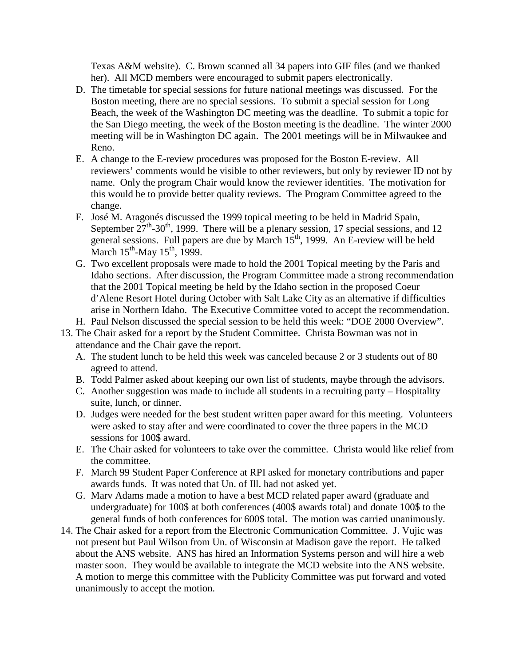Texas A&M website). C. Brown scanned all 34 papers into GIF files (and we thanked her). All MCD members were encouraged to submit papers electronically.

- D. The timetable for special sessions for future national meetings was discussed. For the Boston meeting, there are no special sessions. To submit a special session for Long Beach, the week of the Washington DC meeting was the deadline. To submit a topic for the San Diego meeting, the week of the Boston meeting is the deadline. The winter 2000 meeting will be in Washington DC again. The 2001 meetings will be in Milwaukee and Reno.
- E. A change to the E-review procedures was proposed for the Boston E-review. All reviewers' comments would be visible to other reviewers, but only by reviewer ID not by name. Only the program Chair would know the reviewer identities. The motivation for this would be to provide better quality reviews. The Program Committee agreed to the change.
- F. José M. Aragonés discussed the 1999 topical meeting to be held in Madrid Spain, September  $27^{th}$ -30<sup>th</sup>, 1999. There will be a plenary session, 17 special sessions, and 12 general sessions. Full papers are due by March  $15<sup>th</sup>$ , 1999. An E-review will be held March  $15^{th}$ -May  $15^{th}$ , 1999.
- G. Two excellent proposals were made to hold the 2001 Topical meeting by the Paris and Idaho sections. After discussion, the Program Committee made a strong recommendation that the 2001 Topical meeting be held by the Idaho section in the proposed Coeur d'Alene Resort Hotel during October with Salt Lake City as an alternative if difficulties arise in Northern Idaho. The Executive Committee voted to accept the recommendation.
- H. Paul Nelson discussed the special session to be held this week: "DOE 2000 Overview".
- 13. The Chair asked for a report by the Student Committee. Christa Bowman was not in attendance and the Chair gave the report.
	- A. The student lunch to be held this week was canceled because 2 or 3 students out of 80 agreed to attend.
	- B. Todd Palmer asked about keeping our own list of students, maybe through the advisors.
	- C. Another suggestion was made to include all students in a recruiting party Hospitality suite, lunch, or dinner.
	- D. Judges were needed for the best student written paper award for this meeting. Volunteers were asked to stay after and were coordinated to cover the three papers in the MCD sessions for 100\$ award.
	- E. The Chair asked for volunteers to take over the committee. Christa would like relief from the committee.
	- F. March 99 Student Paper Conference at RPI asked for monetary contributions and paper awards funds. It was noted that Un. of Ill. had not asked yet.
	- G. Marv Adams made a motion to have a best MCD related paper award (graduate and undergraduate) for 100\$ at both conferences (400\$ awards total) and donate 100\$ to the general funds of both conferences for 600\$ total. The motion was carried unanimously.
- 14. The Chair asked for a report from the Electronic Communication Committee. J. Vujic was not present but Paul Wilson from Un. of Wisconsin at Madison gave the report. He talked about the ANS website. ANS has hired an Information Systems person and will hire a web master soon. They would be available to integrate the MCD website into the ANS website. A motion to merge this committee with the Publicity Committee was put forward and voted unanimously to accept the motion.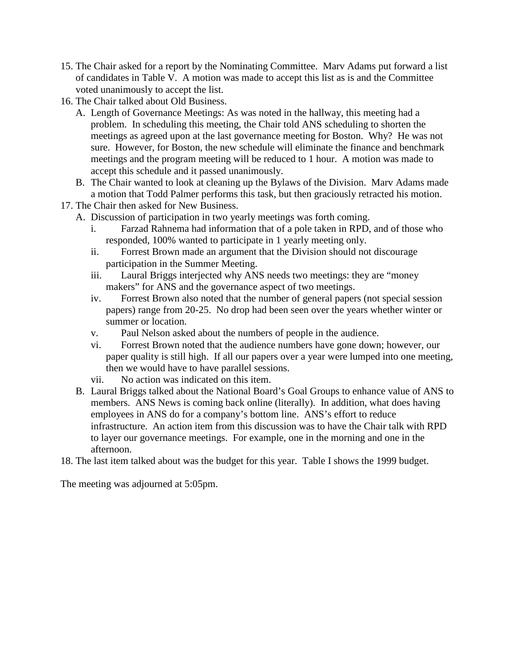- 15. The Chair asked for a report by the Nominating Committee. Marv Adams put forward a list of candidates in Table V. A motion was made to accept this list as is and the Committee voted unanimously to accept the list.
- 16. The Chair talked about Old Business.
	- A. Length of Governance Meetings: As was noted in the hallway, this meeting had a problem. In scheduling this meeting, the Chair told ANS scheduling to shorten the meetings as agreed upon at the last governance meeting for Boston. Why? He was not sure. However, for Boston, the new schedule will eliminate the finance and benchmark meetings and the program meeting will be reduced to 1 hour. A motion was made to accept this schedule and it passed unanimously.
	- B. The Chair wanted to look at cleaning up the Bylaws of the Division. Marv Adams made a motion that Todd Palmer performs this task, but then graciously retracted his motion.
- 17. The Chair then asked for New Business.
	- A. Discussion of participation in two yearly meetings was forth coming.
		- i. Farzad Rahnema had information that of a pole taken in RPD, and of those who responded, 100% wanted to participate in 1 yearly meeting only.
		- ii. Forrest Brown made an argument that the Division should not discourage participation in the Summer Meeting.
		- iii. Laural Briggs interjected why ANS needs two meetings: they are "money makers" for ANS and the governance aspect of two meetings.
		- iv. Forrest Brown also noted that the number of general papers (not special session papers) range from 20-25. No drop had been seen over the years whether winter or summer or location.
		- v. Paul Nelson asked about the numbers of people in the audience.
		- vi. Forrest Brown noted that the audience numbers have gone down; however, our paper quality is still high. If all our papers over a year were lumped into one meeting, then we would have to have parallel sessions.
		- vii. No action was indicated on this item.
	- B. Laural Briggs talked about the National Board's Goal Groups to enhance value of ANS to members. ANS News is coming back online (literally). In addition, what does having employees in ANS do for a company's bottom line. ANS's effort to reduce infrastructure. An action item from this discussion was to have the Chair talk with RPD to layer our governance meetings. For example, one in the morning and one in the afternoon.
- 18. The last item talked about was the budget for this year. Table I shows the 1999 budget.

The meeting was adjourned at 5:05pm.